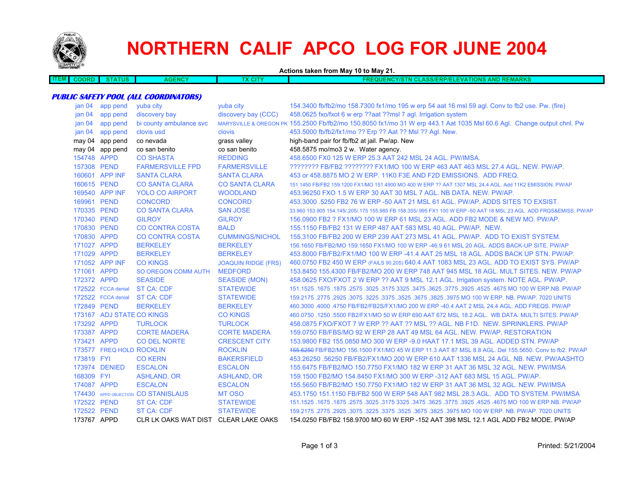

173577 FREQ HOLD

# **NORTHERN CALIF APCO LOG FOR JUNE 2004**

**Actions taken from May 10 to May 21. ITEM COORD STATUS AGENCY TX CITY FREQUENCY/STN CLASS/ERP/ELEVATIONS AND REMARKSPUBLIC SAFETY POOL (ALL COORDINATORS)** jan 04 app pend yuba city yuba city 154.3400 fb/fb2/mo 158.7300 fx1/mo 195 w erp 54 aat 16 msl 59 agl. Conv to fb2 use. Pw. (fire) jan 04 app pend discovery bay discovery bay (CCC) 458.0625 fxo/fxot 6 w erp ??aat ??msl 7 agl. Irrigation system jan 04 app pend bi county ambulance svc MARYSVILLE & OREGON PK 155.2500 Fb/fb2/mo 150.8050 fx1/mo 31 W erp 443.1 Aat 1035 Msl 60.6 Agl. Change output chnl. Pw jan 04 app pend clovis usd clovis 453.5000 fb/fb2/fx1/mo ?? Erp ?? Aat ?? Msl ?? Agl. New. may 04 app pend co nevada grass valley high-band pair for fb/fb2 at jail. Pw/ap. New may 04 app pend co san benito co san benito co san benito 458.5875 mo/mo3 2 w. Water agency. 154748 APPD CO SHASTA REDDING 458.6500 FX0 125 W ERP 25.3 AAT 242 MSL 24 AGL. PW/IMSA. 157308 PEND FARMERSVILLE FPD FARMERSVILLE ???????? FB/FB2 ???????? FX1/MO 100 W ERP 463 AAT 463 MSL 27.4 AGL. NEW. PW/AP.160601 APP INF SANTA CLARA SANTA CLARA 453 or 458.8875 MO 2 W ERP. 11K0 F3E AND F2D EMISSIONS. ADD FREQ. 160615 PEND CO SANTA CLARA CO SANTA CLARA 151.1450 FB/FB2 159.1200 FX1/MO 151.4900 MO 400 W ERP ?? AAT 1307 MSL 24.4 AGL. Add 11K2 EMISSION. PW/AP 169540 APP INF YOLO CO AIRPORT WOODLAND 453.96250 FXO 1.5 W ERP 30 AAT 30 MSL 7 AGL. NB DATA. NEW. PW/AP. 169961 PEND CONCORD CONCORD 453.3000 .5250 FB2 76 W ERP -50 AAT 21 MSL 61 AGL. PW/AP. ADDS SITES TO EXSIST.170335 PEND CO SANTA CLARA SAN JOSE 33.960 153.905 154.145/.205/.175 155.985 FB 158.355/.995 FX1 100 W ERP -50 AAT 18 MSL 23 AGL. ADD FRQS&EMISS. PW/AP 170340 PEND GILROY GILROY 156.0900 FB2 ? FX1/MO 100 W ERP 61 MSL 23 AGL. ADD FB2 MODE & NEW MO. PW/AP.170830 PEND CO CONTRA COSTA BALD 155.1150 FB/FB2 131 W ERP 487 AAT 583 MSL 40 AGL. PW/AP. NEW.170830 APPD CO CONTRA COSTA CUMMINGS/NICHOL 155.3100 FB/FB2 200 W ERP 239 AAT 273 MSL 41 AGL. PW/AP. ADD TO EXIST SYSTEM. 171027 APPD BERKELEY BERKELEY 156.1650 FB/FB2/MO 159.1650 FX1/MO 100 W ERP -46.9 61 MSL 20 AGL. ADDS BACK-UP SITE. PW/AP 171029 APPD BERKELEY BERKELEY 453.8000 FB/FB2/FX1/MO 100 W ERP -41.4 AAT 25 MSL 18 AGL. ADDS BACK UP STN. PW/AP.171052 APP INF CO KINGS JOAQUIN RIDGE (FRS) 460.0750 FB2 450 W ERP (FAILS 90.205) 640.4 AAT 1083 MSL 23 AGL. ADD TO EXIST SYS. PW/AP 171061 APPD SO OREGON COMM AUTH MEDFORD 153.8450 155.4300 FB/FB2/MO 200 W ERP 748 AAT 945 MSL 18 AGL. MULT SITES. NEW. PW/AP 172372 APPD SEASIDE SEASIDE (MON) 458.0625 FXO/FXOT 2 W ERP ?? AAT 9 MSL 12.1 AGL. Irrigation system. NOTE AGL. PW/AP. 172522 FCCA denial ST CA: CDF STATEWIDE 151.1525 .1675 .1875 .2575 .3025 .3175 3325 .3475 .3625 .3775 .3925 .4525 .4675 MO 100 W ERP.NB. PW/AP 172522 FCCA denial **ST CA: CDF STATEWIDE**  159.2175 .2775 .2925 .3075 .3225 .3375 .3525 .3675 .3825 .3975 MO 100 W ERP. NB. PW/AP. 7020 UNITS 172849 PEND BERKELEY BERKELEY 460.3000 .4000 .4750 FB/FB2/FB2S/FX1/MO 200 W ERP -40.4 AAT 2 MSL 24.4 AGL. ADD FREQS. PW/AP 173167 ADJ STATE CO KINGS CO KINGS 460.0750 .1250 .5500 FB2/FX1/MO 50 W ERP 690 AAT 672 MSL 18.2 AGL. WB DATA. MULTI SITES. PW/AP 173292 APPD TURLOCK TURLOCK 458.0875 FXO/FXOT 7 W ERP ?? AAT ?? MSL ?? AGL. NB F1D. NEW. SPRINKLERS. PW/AP173387 APPD CORTE MADERA CORTE MADERA 159.0750 FB/FBS/MO 92 W ERP 28 AAT 49 MSL 64 AGL. NEW. PW/AP. RESTORATION

174430 APPD OBJECTION MT OSO 453.1750 151.1150 FB/FB2 500 W ERP 548 AAT 982 MSL 28.3 AGL. ADD TO SYSTEM. PW/IMSA 172522 PEND ST CA: CDF STATEWIDE 151.1525 .1675 .1875 .2575 .3025 .3175 3325 .3475 .3625 .3775 .3925 .4525 .4675 MO 100 W ERP.NB. PW/AP 172522 PEND ST CA: CDF STATEWIDE 159.2175 .2775 .2925 .3075 .3225 .3375 .3525 .3675 .3825 .3975 MO 100 W ERP. NB. PW/AP. 7020 UNITS 173767 APPD CLR LK OAKS WAT DIST CLEAR LAKE OAKS 154.0250 FB/FB2 158.9700 MO 60 W ERP -152 AAT 398 MSL 12.1 AGL ADD FB2 MODE. PW/AP

173421 APPD CO DEL NORTE CRESCENT CITY 153.9800 FB2 155.0850 MO 300 W ERP -9.0 HAAT 17.1 MSL 39 AGL. ADDED STN. PW/AP

 FYI CO KERN BAKERSFIELD 453.26250 .56250 FB/FB2/FX1/MO 200 W ERP 610 AAT 1336 MSL 24 AGL. NB. NEW. PW/AASHTO DENIED ESCALON ESCALON 155.6475 FB/FB2/MO 150.7750 FX1/MO 182 W ERP 31 AAT 36 MSL 32 AGL. NEW. PW/IMSA FYI ASHLAND, OR ASHLAND, OR 159.1500 FB2/MO 154.8450 FX1/MO 300 W ERP -312 AAT 683 MSL 15 AGL. PW/AP. APPD ESCALON ESCALON 155.5650 FB/FB2/MO 150.7750 FX1/MO 182 W ERP 31 AAT 36 MSL 32 AGL. NEW. PW/IMSA

ROCKLIN ROCKLIN 155.6250 FB/FB2/MO 156.1500 FX1/MO 45 W ERP 11.3 AAT 87 MSL 8.8 AGL. Del 155.5650. Conv to fb2. PW/AP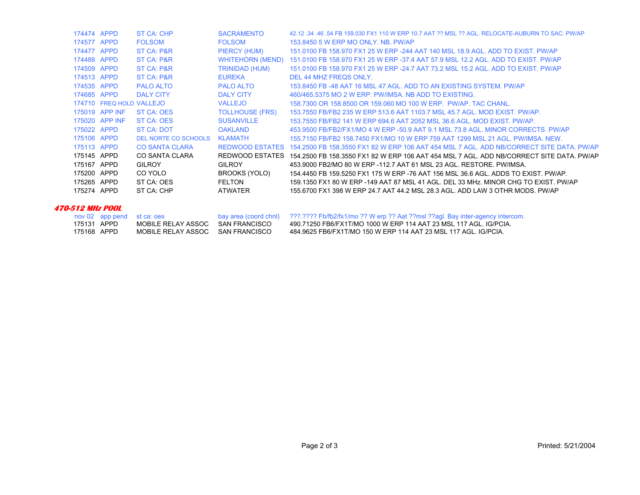| 174474 APPD |                          | <b>ST CA: CHP</b>     | <b>SACRAMENTO</b>       | 42.12 .34 .46 .54 FB 159.030 FX1 110 W ERP 10.7 AAT ?? MSL ?? AGL. RELOCATE-AUBURN TO SAC. PW/AP |
|-------------|--------------------------|-----------------------|-------------------------|--------------------------------------------------------------------------------------------------|
| 174577 APPD |                          | <b>FOLSOM</b>         | <b>FOLSOM</b>           | 153,8450 5 W ERP MO ONLY, NB, PW/AP                                                              |
| 174477 APPD |                          | ST CA: P&R            | PIERCY (HUM)            | 151,0100 FB 158,970 FX1 25 W ERP -244 AAT 140 MSL 18.9 AGL, ADD TO EXIST, PW/AP                  |
| 174488 APPD |                          | ST CA: P&R            | <b>WHITEHORN (MEND)</b> | 151.0100 FB 158.970 FX1 25 W ERP -37.4 AAT 57.9 MSL 12.2 AGL. ADD TO EXIST. PW/AP                |
| 174509 APPD |                          | ST CA: P&R            | TRINIDAD (HUM)          | 151,0100 FB 158,970 FX1 25 W ERP -24.7 AAT 73.2 MSL 15.2 AGL. ADD TO EXIST, PW/AP                |
| 174513 APPD |                          | ST CA: P&R            | <b>EUREKA</b>           | DEL 44 MHZ FREQS ONLY.                                                                           |
| 174535 APPD |                          | <b>PALO ALTO</b>      | <b>PALO ALTO</b>        | 153,8450 FB -48 AAT 16 MSL 47 AGL, ADD TO AN EXISTING SYSTEM, PW/AP                              |
| 174685 APPD |                          | <b>DALY CITY</b>      | <b>DALY CITY</b>        | 460/465.5375 MO 2 W ERP. PW/IMSA, NB ADD TO EXISTING.                                            |
|             | 174710 FREQ HOLD VALLEJO |                       | <b>VALLEJO</b>          | 158,7300 OR 158,8500 OR 159,060 MO 100 W ERP. PW/AP, TAC CHANL.                                  |
|             | 175019 APP INF           | ST CA: OES            | <b>TOLLHOUSE (FRS)</b>  | 153.7550 FB/FB2 235 W ERP 513.6 AAT 1103.7 MSL 45.7 AGL, MOD EXIST, PW/AP,                       |
|             | 175020 APP INF           | ST CA: OES            | <b>SUSANVILLE</b>       | 153.7550 FB/FB2 141 W ERP 694.6 AAT 2052 MSL 36.6 AGL, MOD EXIST, PW/AP.                         |
| 175022 APPD |                          | <b>ST CA: DOT</b>     | <b>OAKLAND</b>          | 453,9500 FB/FB2/FX1/MO 4 W ERP -50.9 AAT 9.1 MSL 73.8 AGL, MINOR CORRECTS, PW/AP                 |
| 175106 APPD |                          | DEL NORTE CO SCHOOLS  | <b>KLAMATH</b>          | 155,7150 FB/FB2 158,7450 FX1/MO 10 W ERP 759 AAT 1299 MSL 21 AGL, PW/IMSA, NEW.                  |
| 175113 APPD |                          | <b>CO SANTA CLARA</b> | <b>REDWOOD ESTATES</b>  | 154.2500 FB 158.3550 FX1 82 W ERP 106 AAT 454 MSL 7 AGL. ADD NB/CORRECT SITE DATA. PW/AP         |
| 175145 APPD |                          | CO SANTA CLARA        | REDWOOD ESTATES         | 154.2500 FB 158.3550 FX1 82 W ERP 106 AAT 454 MSL 7 AGL. ADD NB/CORRECT SITE DATA. PW/AP         |
| 175167 APPD |                          | <b>GILROY</b>         | <b>GILROY</b>           | 453,9000 FB2/MO 80 W ERP -112.7 AAT 61 MSL 23 AGL. RESTORE, PW/IMSA.                             |
| 175200 APPD |                          | CO YOLO               | BROOKS (YOLO)           | 154,4450 FB 159,5250 FX1 175 W ERP -76 AAT 156 MSL 36.6 AGL. ADDS TO EXIST, PW/AP.               |
| 175265 APPD |                          | ST CA: OES            | <b>FELTON</b>           | 159.1350 FX1 80 W ERP -149 AAT 87 MSL 41 AGL. DEL 33 MHz. MINOR CHG TO EXIST. PW/AP              |
| 175274 APPD |                          | ST CA: CHP            | ATWATER                 | 155.6700 FX1 398 W ERP 24.7 AAT 44.2 MSL 28.3 AGL. ADD LAW 3 OTHR MODS. PW/AP                    |
|             |                          |                       |                         |                                                                                                  |

#### **470-512 MHz POOL**

|             | nov 02 app pend st ca: oes       | bay area (coord chnl) 2??.???? Fb/fb2/fx1/mo ?? W erp ?? Aat ??msl ??agl. Bay inter-agency intercom. |
|-------------|----------------------------------|------------------------------------------------------------------------------------------------------|
| 175131 APPD | MOBILE RELAY ASSOC SAN FRANCISCO | 490.71250 FB6/FX1T/MO 1000 W ERP 114 AAT 23 MSL 117 AGL. IG/PCIA.                                    |
| 175168 APPD | MOBILE RELAY ASSOC SAN FRANCISCO | 484 9625 FB6/FX1T/MO 150 W ERP 114 AAT 23 MSL 117 AGL. IG/PCIA.                                      |